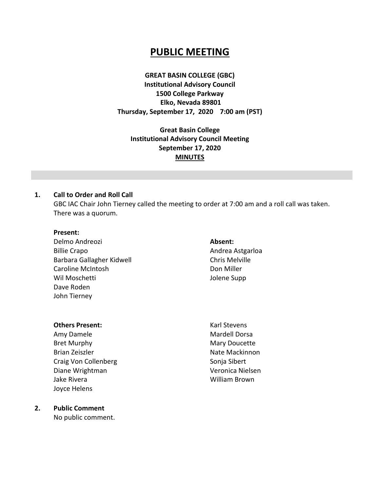# **PUBLIC MEETING**

**GREAT BASIN COLLEGE (GBC) Institutional Advisory Council 1500 College Parkway Elko, Nevada 89801 Thursday, September 17, 2020 7:00 am (PST)**

**Great Basin College Institutional Advisory Council Meeting September 17, 2020 MINUTES** 

#### **1. Call to Order and Roll Call**

GBC IAC Chair John Tierney called the meeting to order at 7:00 am and a roll call was taken. There was a quorum.

#### **Present:**

Delmo Andreozi Billie Crapo Barbara Gallagher Kidwell Caroline McIntosh Wil Moschetti Dave Roden John Tierney

#### **Absent:**

Andrea Astgarloa Chris Melville Don Miller Jolene Supp

#### **Others Present:**

Amy Damele Bret Murphy Brian Zeiszler Craig Von Collenberg Diane Wrightman Jake Rivera Joyce Helens

Karl Stevens Mardell Dorsa Mary Doucette Nate Mackinnon Sonja Sibert Veronica Nielsen William Brown

#### **2. Public Comment**

No public comment.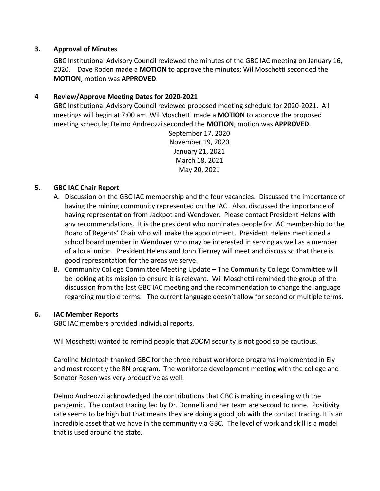# **3. Approval of Minutes**

GBC Institutional Advisory Council reviewed the minutes of the GBC IAC meeting on January 16, 2020. Dave Roden made a **MOTION** to approve the minutes; Wil Moschetti seconded the **MOTION**; motion was **APPROVED**.

# **4 Review/Approve Meeting Dates for 2020-2021**

GBC Institutional Advisory Council reviewed proposed meeting schedule for 2020-2021. All meetings will begin at 7:00 am. Wil Moschetti made a **MOTION** to approve the proposed meeting schedule; Delmo Andreozzi seconded the **MOTION**; motion was **APPROVED**.

> September 17, 2020 November 19, 2020 January 21, 2021 March 18, 2021 May 20, 2021

# **5. GBC IAC Chair Report**

- A. Discussion on the GBC IAC membership and the four vacancies. Discussed the importance of having the mining community represented on the IAC. Also, discussed the importance of having representation from Jackpot and Wendover. Please contact President Helens with any recommendations. It is the president who nominates people for IAC membership to the Board of Regents' Chair who will make the appointment. President Helens mentioned a school board member in Wendover who may be interested in serving as well as a member of a local union. President Helens and John Tierney will meet and discuss so that there is good representation for the areas we serve.
- B. Community College Committee Meeting Update The Community College Committee will be looking at its mission to ensure it is relevant. Wil Moschetti reminded the group of the discussion from the last GBC IAC meeting and the recommendation to change the language regarding multiple terms. The current language doesn't allow for second or multiple terms.

#### **6. IAC Member Reports**

GBC IAC members provided individual reports.

Wil Moschetti wanted to remind people that ZOOM security is not good so be cautious.

Caroline McIntosh thanked GBC for the three robust workforce programs implemented in Ely and most recently the RN program. The workforce development meeting with the college and Senator Rosen was very productive as well.

Delmo Andreozzi acknowledged the contributions that GBC is making in dealing with the pandemic. The contact tracing led by Dr. Donnelli and her team are second to none. Positivity rate seems to be high but that means they are doing a good job with the contact tracing. It is an incredible asset that we have in the community via GBC. The level of work and skill is a model that is used around the state.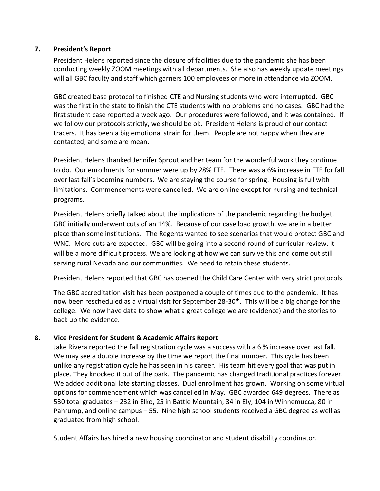# **7. President's Report**

President Helens reported since the closure of facilities due to the pandemic she has been conducting weekly ZOOM meetings with all departments. She also has weekly update meetings will all GBC faculty and staff which garners 100 employees or more in attendance via ZOOM.

GBC created base protocol to finished CTE and Nursing students who were interrupted. GBC was the first in the state to finish the CTE students with no problems and no cases. GBC had the first student case reported a week ago. Our procedures were followed, and it was contained. If we follow our protocols strictly, we should be ok. President Helens is proud of our contact tracers. It has been a big emotional strain for them. People are not happy when they are contacted, and some are mean.

President Helens thanked Jennifer Sprout and her team for the wonderful work they continue to do. Our enrollments for summer were up by 28% FTE. There was a 6% increase in FTE for fall over last fall's booming numbers. We are staying the course for spring. Housing is full with limitations. Commencements were cancelled. We are online except for nursing and technical programs.

President Helens briefly talked about the implications of the pandemic regarding the budget. GBC initially underwent cuts of an 14%. Because of our case load growth, we are in a better place than some institutions. The Regents wanted to see scenarios that would protect GBC and WNC. More cuts are expected. GBC will be going into a second round of curricular review. It will be a more difficult process. We are looking at how we can survive this and come out still serving rural Nevada and our communities. We need to retain these students.

President Helens reported that GBC has opened the Child Care Center with very strict protocols.

The GBC accreditation visit has been postponed a couple of times due to the pandemic. It has now been rescheduled as a virtual visit for September 28-30<sup>th</sup>. This will be a big change for the college. We now have data to show what a great college we are (evidence) and the stories to back up the evidence.

# **8. Vice President for Student & Academic Affairs Report**

Jake Rivera reported the fall registration cycle was a success with a 6 % increase over last fall. We may see a double increase by the time we report the final number. This cycle has been unlike any registration cycle he has seen in his career. His team hit every goal that was put in place. They knocked it out of the park. The pandemic has changed traditional practices forever. We added additional late starting classes. Dual enrollment has grown. Working on some virtual options for commencement which was cancelled in May. GBC awarded 649 degrees. There as 530 total graduates – 232 in Elko, 25 in Battle Mountain, 34 in Ely, 104 in Winnemucca, 80 in Pahrump, and online campus – 55. Nine high school students received a GBC degree as well as graduated from high school.

Student Affairs has hired a new housing coordinator and student disability coordinator.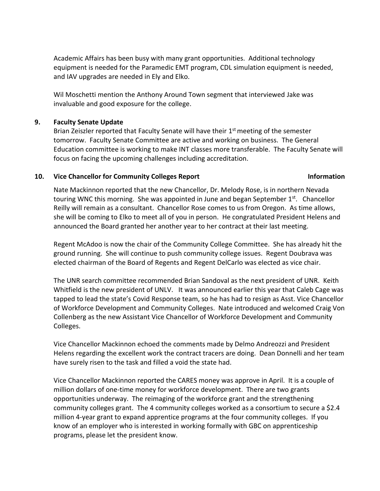Academic Affairs has been busy with many grant opportunities. Additional technology equipment is needed for the Paramedic EMT program, CDL simulation equipment is needed, and IAV upgrades are needed in Ely and Elko.

Wil Moschetti mention the Anthony Around Town segment that interviewed Jake was invaluable and good exposure for the college.

#### **9. Faculty Senate Update**

Brian Zeiszler reported that Faculty Senate will have their 1<sup>st</sup> meeting of the semester tomorrow. Faculty Senate Committee are active and working on business. The General Education committee is working to make INT classes more transferable. The Faculty Senate will focus on facing the upcoming challenges including accreditation.

#### **10. Vice Chancellor for Community Colleges Report Information**

Nate Mackinnon reported that the new Chancellor, Dr. Melody Rose, is in northern Nevada touring WNC this morning. She was appointed in June and began September 1<sup>st</sup>. Chancellor Reilly will remain as a consultant. Chancellor Rose comes to us from Oregon. As time allows, she will be coming to Elko to meet all of you in person. He congratulated President Helens and announced the Board granted her another year to her contract at their last meeting.

Regent McAdoo is now the chair of the Community College Committee. She has already hit the ground running. She will continue to push community college issues. Regent Doubrava was elected chairman of the Board of Regents and Regent DelCarlo was elected as vice chair.

The UNR search committee recommended Brian Sandoval as the next president of UNR. Keith Whitfield is the new president of UNLV. It was announced earlier this year that Caleb Cage was tapped to lead the state's Covid Response team, so he has had to resign as Asst. Vice Chancellor of Workforce Development and Community Colleges. Nate introduced and welcomed Craig Von Collenberg as the new Assistant Vice Chancellor of Workforce Development and Community Colleges.

Vice Chancellor Mackinnon echoed the comments made by Delmo Andreozzi and President Helens regarding the excellent work the contract tracers are doing. Dean Donnelli and her team have surely risen to the task and filled a void the state had.

Vice Chancellor Mackinnon reported the CARES money was approve in April. It is a couple of million dollars of one-time money for workforce development. There are two grants opportunities underway. The reimaging of the workforce grant and the strengthening community colleges grant. The 4 community colleges worked as a consortium to secure a \$2.4 million 4-year grant to expand apprentice programs at the four community colleges. If you know of an employer who is interested in working formally with GBC on apprenticeship programs, please let the president know.